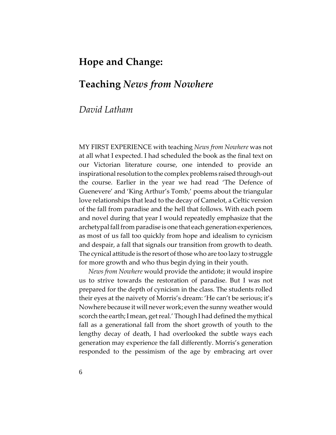# **Hope and Change:**

## **Teaching** *News from Nowhere*

### *David Latham*

MY FIRST EXPERIENCE with teaching *News from Nowhere* was not at all what I expected. I had scheduled the book as the final text on our Victorian literature course, one intended to provide an inspirational resolution to the complex problems raised through-out the course. Earlier in the year we had read 'The Defence of Guenevere' and 'King Arthur's Tomb,' poems about the triangular love relationships that lead to the decay of Camelot, a Celtic version of the fall from paradise and the hell that follows. With each poem and novel during that year I would repeatedly emphasize that the archetypal fall from paradise is one that each generation experiences, as most of us fall too quickly from hope and idealism to cynicism and despair, a fall that signals our transition from growth to death. The cynical attitude is the resort of those who are too lazy to struggle for more growth and who thus begin dying in their youth.

*News from Nowhere* would provide the antidote; it would inspire us to strive towards the restoration of paradise. But I was not prepared for the depth of cynicism in the class. The students rolled their eyes at the naivety of Morris's dream: 'He can't be serious; it's Nowhere because it will never work; even the sunny weather would scorch the earth; I mean, get real.' Though I had defined the mythical fall as a generational fall from the short growth of youth to the lengthy decay of death, I had overlooked the subtle ways each generation may experience the fall differently. Morris's generation responded to the pessimism of the age by embracing art over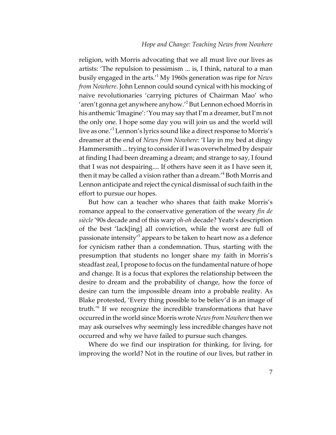religion, with Morris advocating that we all must live our lives as artists: 'The repulsion to pessimism ... is, I think, natural to a man busily engaged in the arts.'<sup>1</sup> My 1960s generation was ripe for *News from Nowhere*. John Lennon could sound cynical with his mocking of naive revolutionaries 'carrying pictures of Chairman Mao' who 'aren't gonna get anywhere anyhow.'<sup>2</sup> But Lennon echoed Morris in his anthemic 'Imagine': 'You may say that I'm a dreamer, but I'm not the only one. I hope some day you will join us and the world will live as one.' $^3$  Lennon's lyrics sound like a direct response to Morris's dreamer at the end of *News from Nowhere*: 'I lay in my bed at dingy Hammersmith ... trying to consider if I was overwhelmed by despair at finding I had been dreaming a dream; and strange to say, I found that I was not despairing.... If others have seen it as I have seen it, then it may be called a vision rather than a dream.' 4 Both Morris and Lennon anticipate and reject the cynical dismissal of such faith in the effort to pursue our hopes.

But how can a teacher who shares that faith make Morris's romance appeal to the conservative generation of the weary *fin de siècle* '90s decade and of this wary *oh-oh* decade? Yeats's description of the best 'lack[ing] all conviction, while the worst are full of passionate intensity' $^5$  appears to be taken to heart now as a defence for cynicism rather than a condemnation. Thus, starting with the presumption that students no longer share my faith in Morris's steadfast zeal, I propose to focus on the fundamental nature of hope and change. It is a focus that explores the relationship between the desire to dream and the probability of change, how the force of desire can turn the impossible dream into a probable reality. As Blake protested, 'Every thing possible to be believ'd is an image of truth.'<sup>6</sup> If we recognize the incredible transformations that have occurred in the world since Morris wrote *News from Nowhere* then we may ask ourselves why seemingly less incredible changes have not occurred and why we have failed to pursue such changes.

Where do we find our inspiration for thinking, for living, for improving the world? Not in the routine of our lives, but rather in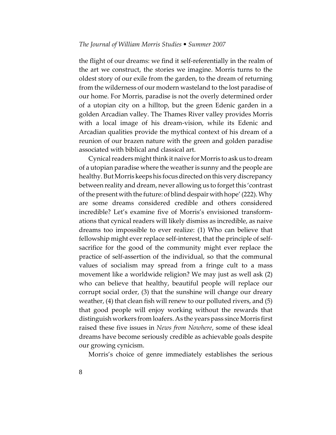the flight of our dreams: we find it self-referentially in the realm of the art we construct, the stories we imagine. Morris turns to the oldest story of our exile from the garden, to the dream of returning from the wilderness of our modern wasteland to the lost paradise of our home. For Morris, paradise is not the overly determined order of a utopian city on a hilltop, but the green Edenic garden in a golden Arcadian valley. The Thames River valley provides Morris with a local image of his dream-vision, while its Edenic and Arcadian qualities provide the mythical context of his dream of a reunion of our brazen nature with the green and golden paradise associated with biblical and classical art.

Cynical readers might think it naive for Morris to ask us to dream of a utopian paradise where the weather is sunny and the people are healthy. But Morris keeps his focus directed on this very discrepancy between reality and dream, never allowing us to forget this 'contrast of the present with the future: of blind despair with hope' (222). Why are some dreams considered credible and others considered incredible? Let's examine five of Morris's envisioned transformations that cynical readers will likely dismiss as incredible, as naive dreams too impossible to ever realize: (1) Who can believe that fellowship might ever replace self-interest, that the principle of selfsacrifice for the good of the community might ever replace the practice of self-assertion of the individual, so that the communal values of socialism may spread from a fringe cult to a mass movement like a worldwide religion? We may just as well ask (2) who can believe that healthy, beautiful people will replace our corrupt social order, (3) that the sunshine will change our dreary weather, (4) that clean fish will renew to our polluted rivers, and (5) that good people will enjoy working without the rewards that distinguish workers from loafers. As the years pass since Morris first raised these five issues in *News from Nowhere*, some of these ideal dreams have become seriously credible as achievable goals despite our growing cynicism.

Morris's choice of genre immediately establishes the serious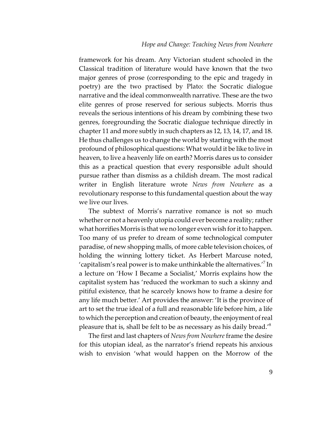framework for his dream. Any Victorian student schooled in the Classical tradition of literature would have known that the two major genres of prose (corresponding to the epic and tragedy in poetry) are the two practised by Plato: the Socratic dialogue narrative and the ideal commonwealth narrative. These are the two elite genres of prose reserved for serious subjects. Morris thus reveals the serious intentions of his dream by combining these two genres, foregrounding the Socratic dialogue technique directly in chapter 11 and more subtly in such chapters as 12, 13, 14, 17, and 18. He thus challenges us to change the world by starting with the most profound of philosophical questions: What would it be like to live in heaven, to live a heavenly life on earth? Morris dares us to consider this as a practical question that every responsible adult should pursue rather than dismiss as a childish dream. The most radical writer in English literature wrote *News from Nowhere* as a revolutionary response to this fundamental question about the way we live our lives.

The subtext of Morris's narrative romance is not so much whether or not a heavenly utopia could ever become a reality; rather what horrifies Morris is that we no longer even wish for it to happen. Too many of us prefer to dream of some technological computer paradise, of new shopping malls, of more cable television choices, of holding the winning lottery ticket. As Herbert Marcuse noted, 'capitalism's real power is to make unthinkable the alternatives.' $^7$  In a lecture on 'How I Became a Socialist,' Morris explains how the capitalist system has 'reduced the workman to such a skinny and pitiful existence, that he scarcely knows how to frame a desire for any life much better.' Art provides the answer: 'It is the province of art to set the true ideal of a full and reasonable life before him, a life to which the perception and creation of beauty, the enjoyment of real pleasure that is, shall be felt to be as necessary as his daily bread.'<sup>8</sup>

The first and last chapters of *News from Nowhere* frame the desire for this utopian ideal, as the narrator's friend repeats his anxious wish to envision 'what would happen on the Morrow of the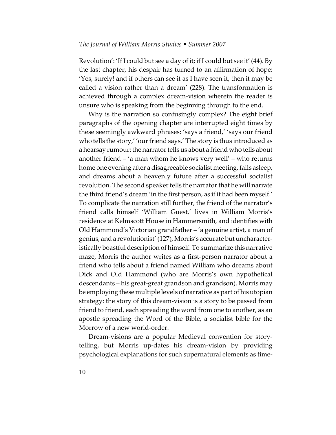Revolution': 'If I could but see a day of it; if I could but see it' (44). By the last chapter, his despair has turned to an affirmation of hope: 'Yes, surely! and if others can see it as I have seen it, then it may be called a vision rather than a dream' (228). The transformation is achieved through a complex dream-vision wherein the reader is unsure who is speaking from the beginning through to the end.

Why is the narration so confusingly complex? The eight brief paragraphs of the opening chapter are interrupted eight times by these seemingly awkward phrases: 'says a friend,' 'says our friend who tells the story,' 'our friend says.' The story is thus introduced as a hearsay rumour: the narrator tells us about a friend who tells about another friend – 'a man whom he knows very well' – who returns home one evening after a disagreeable socialist meeting, falls asleep, and dreams about a heavenly future after a successful socialist revolution. The second speaker tells the narrator that he will narrate the third friend's dream 'in the first person, as if it had been myself.' To complicate the narration still further, the friend of the narrator's friend calls himself 'William Guest,' lives in William Morris's residence at Kelmscott House in Hammersmith, and identifies with Old Hammond's Victorian grandfather – 'a genuine artist, a man of genius, and a revolutionist' (127), Morris's accurate but uncharacteristically boastful description of himself. To summarize this narrative maze, Morris the author writes as a first-person narrator about a friend who tells about a friend named William who dreams about Dick and Old Hammond (who are Morris's own hypothetical descendants – his great-great grandson and grandson). Morris may be employing these multiple levels of narrative as part of his utopian strategy: the story of this dream-vision is a story to be passed from friend to friend, each spreading the word from one to another, as an apostle spreading the Word of the Bible, a socialist bible for the Morrow of a new world-order.

Dream-visions are a popular Medieval convention for storytelling, but Morris up-dates his dream-vision by providing psychological explanations for such supernatural elements as time-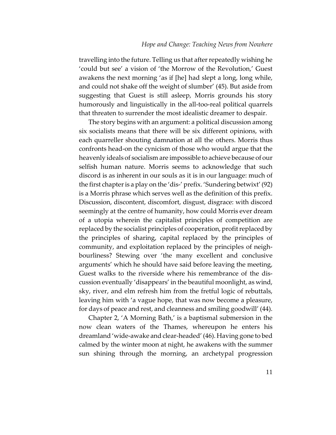travelling into the future. Telling us that after repeatedly wishing he 'could but see' a vision of 'the Morrow of the Revolution,' Guest awakens the next morning 'as if [he] had slept a long, long while, and could not shake off the weight of slumber' (45). But aside from suggesting that Guest is still asleep, Morris grounds his story humorously and linguistically in the all-too-real political quarrels that threaten to surrender the most idealistic dreamer to despair.

The story begins with an argument: a political discussion among six socialists means that there will be six different opinions, with each quarreller shouting damnation at all the others. Morris thus confronts head-on the cynicism of those who would argue that the heavenly ideals of socialism are impossible to achieve because of our selfish human nature. Morris seems to acknowledge that such discord is as inherent in our souls as it is in our language: much of the first chapter is a play on the 'dis-' prefix. 'Sundering betwixt' (92) is a Morris phrase which serves well as the definition of this prefix. Discussion, discontent, discomfort, disgust, disgrace: with discord seemingly at the centre of humanity, how could Morris ever dream of a utopia wherein the capitalist principles of competition are replaced by the socialist principles of cooperation, profit replaced by the principles of sharing, capital replaced by the principles of community, and exploitation replaced by the principles of neighbourliness? Stewing over 'the many excellent and conclusive arguments' which he should have said before leaving the meeting, Guest walks to the riverside where his remembrance of the discussion eventually 'disappears' in the beautiful moonlight, as wind, sky, river, and elm refresh him from the fretful logic of rebuttals, leaving him with 'a vague hope, that was now become a pleasure, for days of peace and rest, and cleanness and smiling goodwill' (44).

Chapter 2, 'A Morning Bath,' is a baptismal submersion in the now clean waters of the Thames, whereupon he enters his dreamland 'wide-awake and clear-headed' (46). Having gone to bed calmed by the winter moon at night, he awakens with the summer sun shining through the morning, an archetypal progression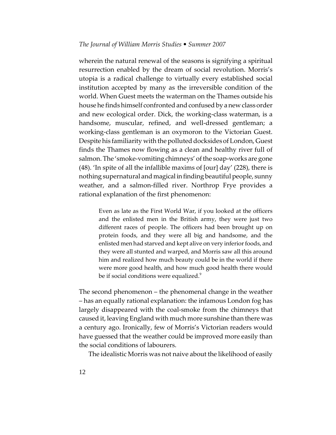wherein the natural renewal of the seasons is signifying a spiritual resurrection enabled by the dream of social revolution. Morris's utopia is a radical challenge to virtually every established social institution accepted by many as the irreversible condition of the world. When Guest meets the waterman on the Thames outside his house he finds himself confronted and confused by a new class order and new ecological order. Dick, the working-class waterman, is a handsome, muscular, refined, and well-dressed gentleman; a working-class gentleman is an oxymoron to the Victorian Guest. Despite his familiarity with the polluted docksides of London, Guest finds the Thames now flowing as a clean and healthy river full of salmon. The 'smoke-vomiting chimneys' of the soap-works are gone (48). 'In spite of all the infallible maxims of [our] day' (228), there is nothing supernatural and magical in finding beautiful people, sunny weather, and a salmon-filled river. Northrop Frye provides a rational explanation of the first phenomenon:

> Even as late as the First World War, if you looked at the officers and the enlisted men in the British army, they were just two different races of people. The officers had been brought up on protein foods, and they were all big and handsome, and the enlisted men had starved and kept alive on very inferior foods, and they were all stunted and warped, and Morris saw all this around him and realized how much beauty could be in the world if there were more good health, and how much good health there would be if social conditions were equalized.<sup>9</sup>

The second phenomenon – the phenomenal change in the weather – has an equally rational explanation: the infamous London fog has largely disappeared with the coal-smoke from the chimneys that caused it, leaving England with much more sunshine than there was a century ago. Ironically, few of Morris's Victorian readers would have guessed that the weather could be improved more easily than the social conditions of labourers.

The idealistic Morris was not naive about the likelihood of easily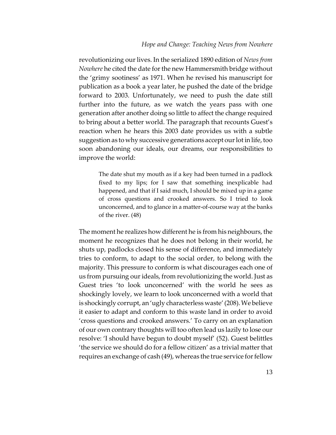revolutionizing our lives. In the serialized 1890 edition of *News from Nowhere* he cited the date for the new Hammersmith bridge without the 'grimy sootiness' as 1971. When he revised his manuscript for publication as a book a year later, he pushed the date of the bridge forward to 2003. Unfortunately, we need to push the date still further into the future, as we watch the years pass with one generation after another doing so little to affect the change required to bring about a better world. The paragraph that recounts Guest's reaction when he hears this 2003 date provides us with a subtle suggestion as to why successive generations accept our lot in life, too soon abandoning our ideals, our dreams, our responsibilities to improve the world:

> The date shut my mouth as if a key had been turned in a padlock fixed to my lips; for I saw that something inexplicable had happened, and that if I said much, I should be mixed up in a game of cross questions and crooked answers. So I tried to look unconcerned, and to glance in a matter-of-course way at the banks of the river. (48)

The moment he realizes how different he is from his neighbours, the moment he recognizes that he does not belong in their world, he shuts up, padlocks closed his sense of difference, and immediately tries to conform, to adapt to the social order, to belong with the majority. This pressure to conform is what discourages each one of us from pursuing our ideals, from revolutionizing the world. Just as Guest tries 'to look unconcerned' with the world he sees as shockingly lovely, we learn to look unconcerned with a world that is shockingly corrupt, an 'ugly characterless waste' (208). We believe it easier to adapt and conform to this waste land in order to avoid 'cross questions and crooked answers.' To carry on an explanation of our own contrary thoughts will too often lead us lazily to lose our resolve: 'I should have begun to doubt myself' (52). Guest belittles 'the service we should do for a fellow citizen' as a trivial matter that requires an exchange of cash (49), whereas the true service for fellow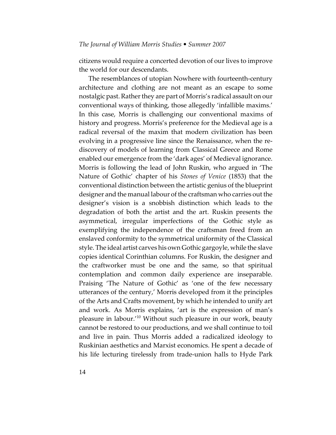citizens would require a concerted devotion of our lives to improve the world for our descendants.

The resemblances of utopian Nowhere with fourteenth-century architecture and clothing are not meant as an escape to some nostalgic past. Rather they are part of Morris's radical assault on our conventional ways of thinking, those allegedly 'infallible maxims.' In this case, Morris is challenging our conventional maxims of history and progress. Morris's preference for the Medieval age is a radical reversal of the maxim that modern civilization has been evolving in a progressive line since the Renaissance, when the rediscovery of models of learning from Classical Greece and Rome enabled our emergence from the 'dark ages' of Medieval ignorance. Morris is following the lead of John Ruskin, who argued in 'The Nature of Gothic' chapter of his *Stones of Venice* (1853) that the conventional distinction between the artistic genius of the blueprint designer and the manual labour of the craftsman who carries out the designer's vision is a snobbish distinction which leads to the degradation of both the artist and the art. Ruskin presents the asymmetical, irregular imperfections of the Gothic style as exemplifying the independence of the craftsman freed from an enslaved conformity to the symmetrical uniformity of the Classical style. The ideal artist carves his own Gothic gargoyle, while the slave copies identical Corinthian columns. For Ruskin, the designer and the craftworker must be one and the same, so that spiritual contemplation and common daily experience are inseparable. Praising 'The Nature of Gothic' as 'one of the few necessary utterances of the century,' Morris developed from it the principles of the Arts and Crafts movement, by which he intended to unify art and work. As Morris explains, 'art is the expression of man's pleasure in labour.'<sup>10</sup> Without such pleasure in our work, beauty cannot be restored to our productions, and we shall continue to toil and live in pain. Thus Morris added a radicalized ideology to Ruskinian aesthetics and Marxist economics. He spent a decade of his life lecturing tirelessly from trade-union halls to Hyde Park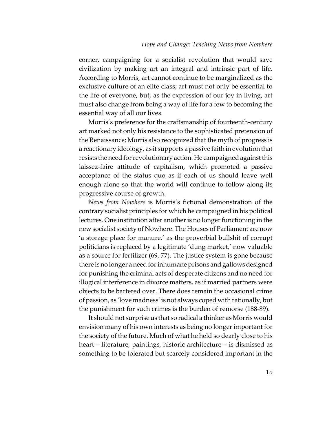corner, campaigning for a socialist revolution that would save civilization by making art an integral and intrinsic part of life. According to Morris, art cannot continue to be marginalized as the exclusive culture of an elite class; art must not only be essential to the life of everyone, but, as the expression of our joy in living, art must also change from being a way of life for a few to becoming the essential way of all our lives.

Morris's preference for the craftsmanship of fourteenth-century art marked not only his resistance to the sophisticated pretension of the Renaissance; Morris also recognized that the myth of progress is a reactionary ideology, as it supports a passive faith in evolution that resists the need for revolutionary action. He campaigned against this laissez-faire attitude of capitalism, which promoted a passive acceptance of the status quo as if each of us should leave well enough alone so that the world will continue to follow along its progressive course of growth.

*News from Nowhere* is Morris's fictional demonstration of the contrary socialist principles for which he campaigned in his political lectures. One institution after another is no longer functioning in the new socialist society of Nowhere. The Houses of Parliament are now 'a storage place for manure,' as the proverbial bullshit of corrupt politicians is replaced by a legitimate 'dung market,' now valuable as a source for fertilizer (69, 77). The justice system is gone because there is no longer a need for inhumane prisons and gallows designed for punishing the criminal acts of desperate citizens and no need for illogical interference in divorce matters, as if married partners were objects to be bartered over. There does remain the occasional crime of passion, as 'love madness' is not always coped with rationally, but the punishment for such crimes is the burden of remorse (188-89).

It should not surprise us that so radical a thinker as Morris would envision many of his own interests as being no longer important for the society of the future. Much of what he held so dearly close to his heart – literature, paintings, historic architecture – is dismissed as something to be tolerated but scarcely considered important in the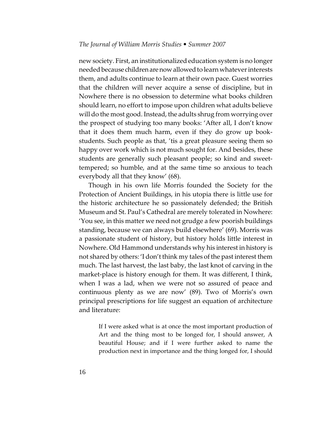new society. First, an institutionalized education system is no longer needed because children are now allowed to learn whatever interests them, and adults continue to learn at their own pace. Guest worries that the children will never acquire a sense of discipline, but in Nowhere there is no obsession to determine what books children should learn, no effort to impose upon children what adults believe will do the most good. Instead, the adults shrug from worrying over the prospect of studying too many books: 'After all, I don't know that it does them much harm, even if they do grow up bookstudents. Such people as that, 'tis a great pleasure seeing them so happy over work which is not much sought for. And besides, these students are generally such pleasant people; so kind and sweettempered; so humble, and at the same time so anxious to teach everybody all that they know' (68).

Though in his own life Morris founded the Society for the Protection of Ancient Buildings, in his utopia there is little use for the historic architecture he so passionately defended; the British Museum and St. Paul's Cathedral are merely tolerated in Nowhere: 'You see, in this matter we need not grudge a few poorish buildings standing, because we can always build elsewhere' (69). Morris was a passionate student of history, but history holds little interest in Nowhere. Old Hammond understands why his interest in history is not shared by others: 'I don't think my tales of the past interest them much. The last harvest, the last baby, the last knot of carving in the market-place is history enough for them. It was different, I think, when I was a lad, when we were not so assured of peace and continuous plenty as we are now' (89). Two of Morris's own principal prescriptions for life suggest an equation of architecture and literature:

> If I were asked what is at once the most important production of Art and the thing most to be longed for, I should answer, A beautiful House; and if I were further asked to name the production next in importance and the thing longed for, I should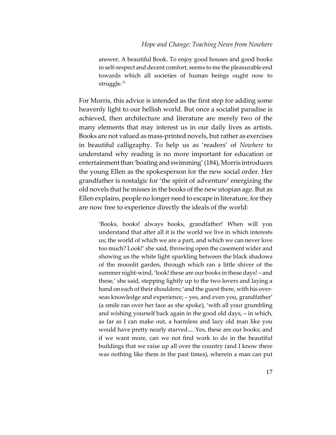answer, A beautiful Book. To enjoy good houses and good books in self-respect and decent comfort, seems to me the pleasurable end towards which all societies of human beings ought now to struggle. $^{11}$ 

For Morris, this advice is intended as the first step for adding some heavenly light to our hellish world. But once a socialist paradise is achieved, then architecture and literature are merely two of the many elements that may interest us in our daily lives as artists. Books are not valued as mass-printed novels, but rather as exercises in beautiful calligraphy. To help us as 'readers' of *Nowhere* to understand why reading is no more important for education or entertainment than 'boating and swimming' (184), Morris introduces the young Ellen as the spokesperson for the new social order. Her grandfather is nostalgic for 'the spirit of adventure' energizing the old novels that he misses in the books of the new utopian age. But as Ellen explains, people no longer need to escape in literature, for they are now free to experience directly the ideals of the world:

> 'Books, books! always books, grandfather! When will you understand that after all it is the world we live in which interests us; the world of which we are a part, and which we can never love too much? Look!' she said, throwing open the casement wider and showing us the white light sparkling between the black shadows of the moonlit garden, through which ran a little shiver of the summer night-wind, 'look! these are our books in these days! – and these,' she said, stepping lightly up to the two lovers and laying a hand on each of their shoulders; 'and the guest there, with his overseas knowledge and experience; – yes, and even you, grandfather' (a smile ran over her face as she spoke), 'with all your grumbling and wishing yourself back again in the good old days, – in which, as far as I can make out, a harmless and lazy old man like you would have pretty nearly starved.... Yes, these are our books; and if we want more, can we not find work to do in the beautiful buildings that we raise up all over the country (and I know there was nothing like them in the past times), wherein a man can put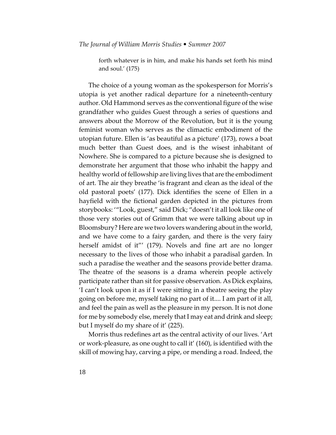forth whatever is in him, and make his hands set forth his mind and soul.' (175)

The choice of a young woman as the spokesperson for Morris's utopia is yet another radical departure for a nineteenth-century author. Old Hammond serves as the conventional figure of the wise grandfather who guides Guest through a series of questions and answers about the Morrow of the Revolution, but it is the young feminist woman who serves as the climactic embodiment of the utopian future. Ellen is 'as beautiful as a picture' (173), rows a boat much better than Guest does, and is the wisest inhabitant of Nowhere. She is compared to a picture because she is designed to demonstrate her argument that those who inhabit the happy and healthy world of fellowship are living lives that are the embodiment of art. The air they breathe 'is fragrant and clean as the ideal of the old pastoral poets' (177). Dick identifies the scene of Ellen in a hayfield with the fictional garden depicted in the pictures from storybooks: '"Look, guest," said Dick; "doesn't it all look like one of those very stories out of Grimm that we were talking about up in Bloomsbury? Here are we two lovers wandering about in the world, and we have come to a fairy garden, and there is the very fairy herself amidst of it"' (179). Novels and fine art are no longer necessary to the lives of those who inhabit a paradisal garden. In such a paradise the weather and the seasons provide better drama. The theatre of the seasons is a drama wherein people actively participate rather than sit for passive observation. As Dick explains, 'I can't look upon it as if I were sitting in a theatre seeing the play going on before me, myself taking no part of it.... I am part of it all, and feel the pain as well as the pleasure in my person. It is not done for me by somebody else, merely that I may eat and drink and sleep; but I myself do my share of it' (225).

Morris thus redefines art as the central activity of our lives. 'Art or work-pleasure, as one ought to call it' (160), is identified with the skill of mowing hay, carving a pipe, or mending a road. Indeed, the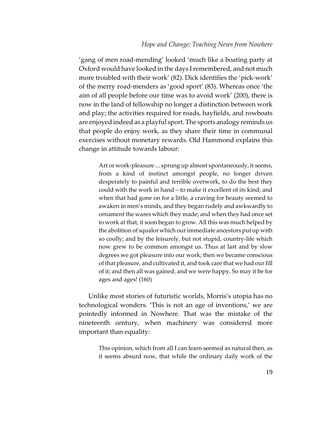'gang of men road-mending' looked 'much like a boating party at Oxford would have looked in the days I remembered, and not much more troubled with their work' (82). Dick identifies the 'pick-work' of the merry road-menders as 'good sport' (83). Whereas once 'the aim of all people before our time was to avoid work' (200), there is now in the land of fellowship no longer a distinction between work and play; the activities required for roads, hayfields, and rowboats are enjoyed indeed as a playful sport. The sports analogy reminds us that people do enjoy work, as they share their time in communal exercises without monetary rewards. Old Hammond explains this change in attitude towards labour:

> Art or work-pleasure ... sprung up almost spontaneously, it seems, from a kind of instinct amongst people, no longer driven desperately to painful and terrible overwork, to do the best they could with the work in hand – to make it excellent of its kind; and when that had gone on for a little, a craving for beauty seemed to awaken in men's minds, and they began rudely and awkwardly to ornament the wares which they made; and when they had once set to work at that, it soon began to grow. All this was much helped by the abolition of squalor which our immediate ancestors put up with so coolly; and by the leisurely, but not stupid, country-life which now grew to be common amongst us. Thus at last and by slow degrees we got pleasure into our work; then we became conscious of that pleasure, and cultivated it, and took care that we had our fill of it; and then all was gained, and we were happy. So may it be for ages and ages! (160)

Unlike most stories of futuristic worlds, Morris's utopia has no technological wonders. 'This is not an age of inventions,' we are pointedly informed in Nowhere. That was the mistake of the nineteenth century, when machinery was considered more important than equality:

> This opinion, which from all I can learn seemed as natural then, as it seems absurd now, that while the ordinary daily work of the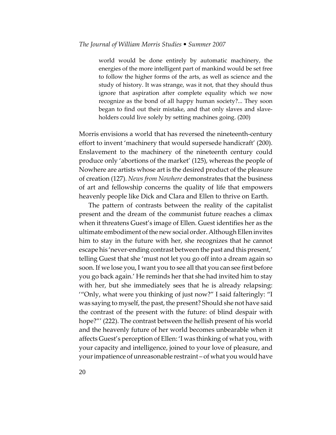world would be done entirely by automatic machinery, the energies of the more intelligent part of mankind would be set free to follow the higher forms of the arts, as well as science and the study of history. It was strange, was it not, that they should thus ignore that aspiration after complete equality which we now recognize as the bond of all happy human society?... They soon began to find out their mistake, and that only slaves and slaveholders could live solely by setting machines going. (200)

Morris envisions a world that has reversed the nineteenth-century effort to invent 'machinery that would supersede handicraft' (200). Enslavement to the machinery of the nineteenth century could produce only 'abortions of the market' (125), whereas the people of Nowhere are artists whose art is the desired product of the pleasure of creation (127). *News from Nowhere* demonstrates that the business of art and fellowship concerns the quality of life that empowers heavenly people like Dick and Clara and Ellen to thrive on Earth.

The pattern of contrasts between the reality of the capitalist present and the dream of the communist future reaches a climax when it threatens Guest's image of Ellen. Guest identifies her as the ultimate embodiment of the new social order. Although Ellen invites him to stay in the future with her, she recognizes that he cannot escape his 'never-ending contrast between the past and this present,' telling Guest that she 'must not let you go off into a dream again so soon. If we lose you, I want you to see all that you can see first before you go back again.' He reminds her that she had invited him to stay with her, but she immediately sees that he is already relapsing: '"Only, what were you thinking of just now?" I said falteringly: "I was saying to myself, the past, the present? Should she not have said the contrast of the present with the future: of blind despair with hope?"' (222). The contrast between the hellish present of his world and the heavenly future of her world becomes unbearable when it affects Guest's perception of Ellen: 'I was thinking of what you, with your capacity and intelligence, joined to your love of pleasure, and your impatience of unreasonable restraint – of what you would have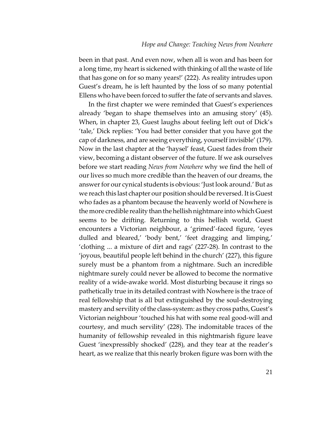been in that past. And even now, when all is won and has been for a long time, my heart is sickened with thinking of all the waste of life that has gone on for so many years!' (222). As reality intrudes upon Guest's dream, he is left haunted by the loss of so many potential Ellens who have been forced to suffer the fate of servants and slaves.

In the first chapter we were reminded that Guest's experiences already 'began to shape themselves into an amusing story' (45). When, in chapter 23, Guest laughs about feeling left out of Dick's 'tale,' Dick replies: 'You had better consider that you have got the cap of darkness, and are seeing everything, yourself invisible' (179). Now in the last chapter at the 'haysel' feast, Guest fades from their view, becoming a distant observer of the future. If we ask ourselves before we start reading *News from Nowhere* why we find the hell of our lives so much more credible than the heaven of our dreams, the answer for our cynical students is obvious: 'Just look around.' But as we reach this last chapter our position should be reversed. It is Guest who fades as a phantom because the heavenly world of Nowhere is the more credible reality than the hellish nightmare into which Guest seems to be drifting. Returning to this hellish world, Guest encounters a Victorian neighbour, a 'grimed'-faced figure, 'eyes dulled and bleared,' 'body bent,' 'feet dragging and limping,' 'clothing ... a mixture of dirt and rags' (227-28). In contrast to the 'joyous, beautiful people left behind in the church' (227), this figure surely must be a phantom from a nightmare. Such an incredible nightmare surely could never be allowed to become the normative reality of a wide-awake world. Most disturbing because it rings so pathetically true in its detailed contrast with Nowhere is the trace of real fellowship that is all but extinguished by the soul-destroying mastery and servility of the class-system: as they cross paths, Guest's Victorian neighbour 'touched his hat with some real good-will and courtesy, and much servility' (228). The indomitable traces of the humanity of fellowship revealed in this nightmarish figure leave Guest 'inexpressibly shocked' (228), and they tear at the reader's heart, as we realize that this nearly broken figure was born with the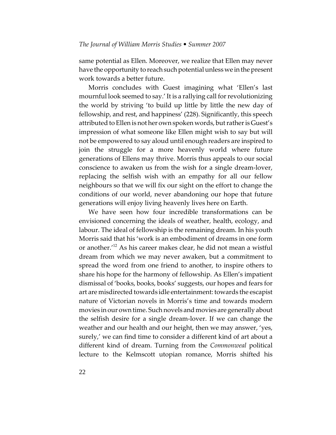same potential as Ellen. Moreover, we realize that Ellen may never have the opportunity to reach such potential unless we in the present work towards a better future.

Morris concludes with Guest imagining what 'Ellen's last mournful look seemed to say.' It is a rallying call for revolutionizing the world by striving 'to build up little by little the new day of fellowship, and rest, and happiness' (228). Significantly, this speech attributed to Ellen is not her own spoken words, but rather is Guest's impression of what someone like Ellen might wish to say but will not be empowered to say aloud until enough readers are inspired to join the struggle for a more heavenly world where future generations of Ellens may thrive. Morris thus appeals to our social conscience to awaken us from the wish for a single dream-lover, replacing the selfish wish with an empathy for all our fellow neighbours so that we will fix our sight on the effort to change the conditions of our world, never abandoning our hope that future generations will enjoy living heavenly lives here on Earth.

We have seen how four incredible transformations can be envisioned concerning the ideals of weather, health, ecology, and labour. The ideal of fellowship is the remaining dream. In his youth Morris said that his 'work is an embodiment of dreams in one form or another.<sup>'12</sup> As his career makes clear, he did not mean a wistful dream from which we may never awaken, but a commitment to spread the word from one friend to another, to inspire others to share his hope for the harmony of fellowship. As Ellen's impatient dismissal of 'books, books, books' suggests, our hopes and fears for art are misdirected towards idle entertainment: towards the escapist nature of Victorian novels in Morris's time and towards modern movies in our own time. Such novels and movies are generally about the selfish desire for a single dream-lover. If we can change the weather and our health and our height, then we may answer, 'yes, surely,' we can find time to consider a different kind of art about a different kind of dream. Turning from the *Commonweal* political lecture to the Kelmscott utopian romance, Morris shifted his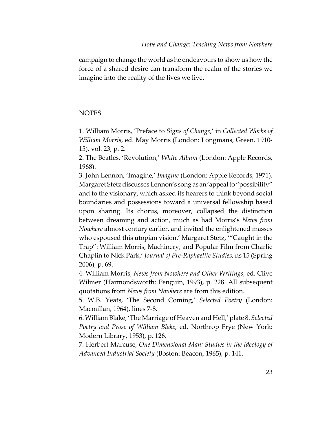campaign to change the world as he endeavours to show us how the force of a shared desire can transform the realm of the stories we imagine into the reality of the lives we live.

### NOTES

1. William Morris, 'Preface to *Signs of Change*,' in *Collected Works of William Morris*, ed. May Morris (London: Longmans, Green, 1910- 15), vol. 23, p. 2.

2. The Beatles, 'Revolution,' *White Album* (London: Apple Records, 1968).

3. John Lennon, 'Imagine,' *Imagine* (London: Apple Records, 1971). Margaret Stetz discusses Lennon's song as an 'appeal to "possibility" and to the visionary, which asked its hearers to think beyond social boundaries and possessions toward a universal fellowship based upon sharing. Its chorus, moreover, collapsed the distinction between dreaming and action, much as had Morris's *News from Nowhere* almost century earlier, and invited the enlightened masses who espoused this utopian vision.' Margaret Stetz, '"Caught in the Trap": William Morris, Machinery, and Popular Film from Charlie Chaplin to Nick Park,' *Journal of Pre-Raphaelite Studies*, ns 15 (Spring 2006), p. 69.

4. William Morris, *News from Nowhere and Other Writings*, ed. Clive Wilmer (Harmondsworth: Penguin, 1993), p. 228. All subsequent quotations from *News from Nowhere* are from this edition.

5. W.B. Yeats, 'The Second Coming,' *Selected Poetry* (London: Macmillan, 1964), lines 7-8.

6. William Blake, 'The Marriage of Heaven and Hell,' plate 8. *Selected Poetry and Prose of William Blake*, ed. Northrop Frye (New York: Modern Library, 1953), p. 126.

7. Herbert Marcuse, *One Dimensional Man: Studies in the Ideology of Advanced Industrial Society* (Boston: Beacon, 1965), p. 141.